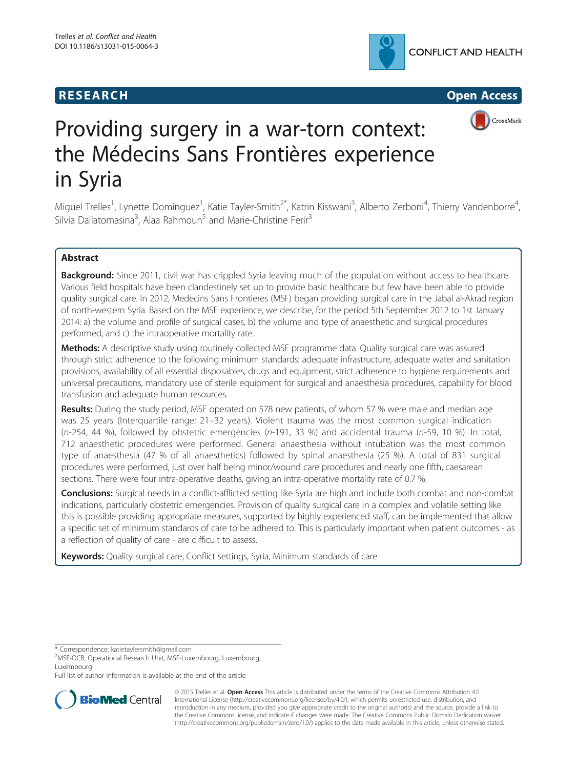





# Providing surgery in a war-torn context: the Médecins Sans Frontières experience in Syria

Miguel Trelles<sup>1</sup>, Lynette Dominguez<sup>1</sup>, Katie Tayler-Smith<sup>2\*</sup>, Katrin Kisswani<sup>3</sup>, Alberto Zerboni<sup>4</sup>, Thierry Vandenborre<sup>4</sup> , Silvia Dallatomasina<sup>3</sup>, Alaa Rahmoun<sup>5</sup> and Marie-Christine Ferir<sup>3</sup>

### Abstract

Background: Since 2011, civil war has crippled Syria leaving much of the population without access to healthcare. Various field hospitals have been clandestinely set up to provide basic healthcare but few have been able to provide quality surgical care. In 2012, Medecins Sans Frontieres (MSF) began providing surgical care in the Jabal al-Akrad region of north-western Syria. Based on the MSF experience, we describe, for the period 5th September 2012 to 1st January 2014: a) the volume and profile of surgical cases, b) the volume and type of anaesthetic and surgical procedures performed, and c) the intraoperative mortality rate.

Methods: A descriptive study using routinely collected MSF programme data. Quality surgical care was assured through strict adherence to the following minimum standards: adequate infrastructure, adequate water and sanitation provisions, availability of all essential disposables, drugs and equipment, strict adherence to hygiene requirements and universal precautions, mandatory use of sterile equipment for surgical and anaesthesia procedures, capability for blood transfusion and adequate human resources.

Results: During the study period, MSF operated on 578 new patients, of whom 57 % were male and median age was 25 years (Interquartile range: 21–32 years). Violent trauma was the most common surgical indication  $(n-254, 44, 96)$ , followed by obstetric emergencies  $(n-191, 33, 96)$  and accidental trauma  $(n-59, 10, 96)$ . In total, 712 anaesthetic procedures were performed. General anaesthesia without intubation was the most common type of anaesthesia (47 % of all anaesthetics) followed by spinal anaesthesia (25 %). A total of 831 surgical procedures were performed, just over half being minor/wound care procedures and nearly one fifth, caesarean sections. There were four intra-operative deaths, giving an intra-operative mortality rate of 0.7 %.

Conclusions: Surgical needs in a conflict-afflicted setting like Syria are high and include both combat and non-combat indications, particularly obstetric emergencies. Provision of quality surgical care in a complex and volatile setting like this is possible providing appropriate measures, supported by highly experienced staff, can be implemented that allow a specific set of minimum standards of care to be adhered to. This is particularly important when patient outcomes - as a reflection of quality of care - are difficult to assess.

Keywords: Quality surgical care, Conflict settings, Syria, Minimum standards of care

Full list of author information is available at the end of the article



© 2015 Trelles et al. Open Access This article is distributed under the terms of the Creative Commons Attribution 4.0 International License [\(http://creativecommons.org/licenses/by/4.0/](http://creativecommons.org/licenses/by/4.0/)), which permits unrestricted use, distribution, and reproduction in any medium, provided you give appropriate credit to the original author(s) and the source, provide a link to the Creative Commons license, and indicate if changes were made. The Creative Commons Public Domain Dedication waiver [\(http://creativecommons.org/publicdomain/zero/1.0/](http://creativecommons.org/publicdomain/zero/1.0/)) applies to the data made available in this article, unless otherwise stated.

<sup>\*</sup> Correspondence: [katietaylersmith@gmail.com](mailto:katietaylersmith@gmail.com) <sup>2</sup>

MSF-OCB, Operational Research Unit, MSF-Luxembourg, Luxembourg, Luxembourg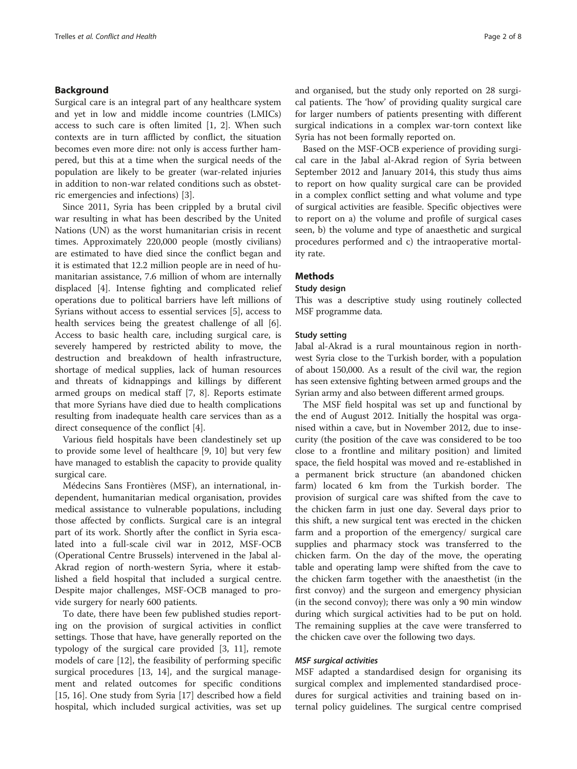#### Background

Surgical care is an integral part of any healthcare system and yet in low and middle income countries (LMICs) access to such care is often limited [\[1, 2](#page-7-0)]. When such contexts are in turn afflicted by conflict, the situation becomes even more dire: not only is access further hampered, but this at a time when the surgical needs of the population are likely to be greater (war-related injuries in addition to non-war related conditions such as obstetric emergencies and infections) [[3](#page-7-0)].

Since 2011, Syria has been crippled by a brutal civil war resulting in what has been described by the United Nations (UN) as the worst humanitarian crisis in recent times. Approximately 220,000 people (mostly civilians) are estimated to have died since the conflict began and it is estimated that 12.2 million people are in need of humanitarian assistance, 7.6 million of whom are internally displaced [[4\]](#page-7-0). Intense fighting and complicated relief operations due to political barriers have left millions of Syrians without access to essential services [\[5](#page-7-0)], access to health services being the greatest challenge of all [\[6](#page-7-0)]. Access to basic health care, including surgical care, is severely hampered by restricted ability to move, the destruction and breakdown of health infrastructure, shortage of medical supplies, lack of human resources and threats of kidnappings and killings by different armed groups on medical staff [[7, 8\]](#page-7-0). Reports estimate that more Syrians have died due to health complications resulting from inadequate health care services than as a direct consequence of the conflict [[4\]](#page-7-0).

Various field hospitals have been clandestinely set up to provide some level of healthcare [\[9](#page-7-0), [10\]](#page-7-0) but very few have managed to establish the capacity to provide quality surgical care.

Médecins Sans Frontières (MSF), an international, independent, humanitarian medical organisation, provides medical assistance to vulnerable populations, including those affected by conflicts. Surgical care is an integral part of its work. Shortly after the conflict in Syria escalated into a full-scale civil war in 2012, MSF-OCB (Operational Centre Brussels) intervened in the Jabal al-Akrad region of north-western Syria, where it established a field hospital that included a surgical centre. Despite major challenges, MSF-OCB managed to provide surgery for nearly 600 patients.

To date, there have been few published studies reporting on the provision of surgical activities in conflict settings. Those that have, have generally reported on the typology of the surgical care provided [\[3](#page-7-0), [11](#page-7-0)], remote models of care [[12\]](#page-7-0), the feasibility of performing specific surgical procedures [[13, 14](#page-7-0)], and the surgical management and related outcomes for specific conditions [[15, 16\]](#page-7-0). One study from Syria [\[17](#page-7-0)] described how a field hospital, which included surgical activities, was set up and organised, but the study only reported on 28 surgical patients. The 'how' of providing quality surgical care for larger numbers of patients presenting with different surgical indications in a complex war-torn context like Syria has not been formally reported on.

Based on the MSF-OCB experience of providing surgical care in the Jabal al-Akrad region of Syria between September 2012 and January 2014, this study thus aims to report on how quality surgical care can be provided in a complex conflict setting and what volume and type of surgical activities are feasible. Specific objectives were to report on a) the volume and profile of surgical cases seen, b) the volume and type of anaesthetic and surgical procedures performed and c) the intraoperative mortality rate.

#### Methods

#### Study design

This was a descriptive study using routinely collected MSF programme data.

#### Study setting

Jabal al-Akrad is a rural mountainous region in northwest Syria close to the Turkish border, with a population of about 150,000. As a result of the civil war, the region has seen extensive fighting between armed groups and the Syrian army and also between different armed groups.

The MSF field hospital was set up and functional by the end of August 2012. Initially the hospital was organised within a cave, but in November 2012, due to insecurity (the position of the cave was considered to be too close to a frontline and military position) and limited space, the field hospital was moved and re-established in a permanent brick structure (an abandoned chicken farm) located 6 km from the Turkish border. The provision of surgical care was shifted from the cave to the chicken farm in just one day. Several days prior to this shift, a new surgical tent was erected in the chicken farm and a proportion of the emergency/ surgical care supplies and pharmacy stock was transferred to the chicken farm. On the day of the move, the operating table and operating lamp were shifted from the cave to the chicken farm together with the anaesthetist (in the first convoy) and the surgeon and emergency physician (in the second convoy); there was only a 90 min window during which surgical activities had to be put on hold. The remaining supplies at the cave were transferred to the chicken cave over the following two days.

#### MSF surgical activities

MSF adapted a standardised design for organising its surgical complex and implemented standardised procedures for surgical activities and training based on internal policy guidelines. The surgical centre comprised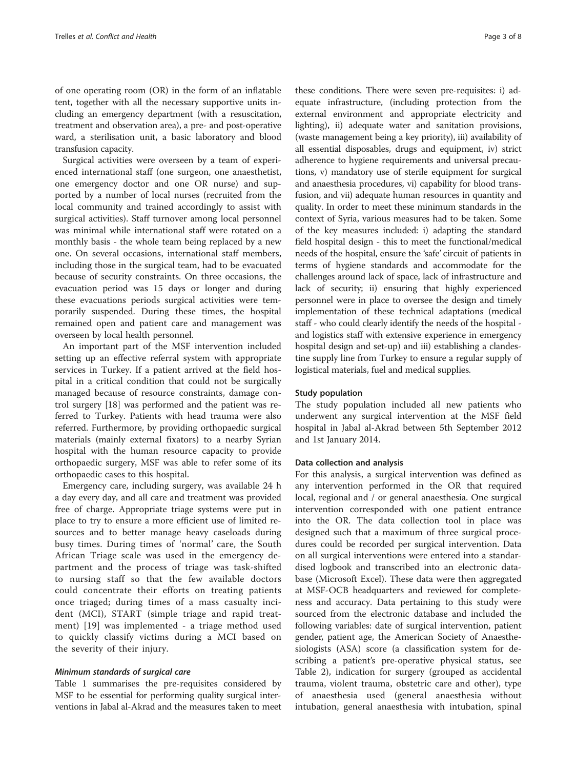of one operating room (OR) in the form of an inflatable tent, together with all the necessary supportive units including an emergency department (with a resuscitation, treatment and observation area), a pre- and post-operative ward, a sterilisation unit, a basic laboratory and blood transfusion capacity.

Surgical activities were overseen by a team of experienced international staff (one surgeon, one anaesthetist, one emergency doctor and one OR nurse) and supported by a number of local nurses (recruited from the local community and trained accordingly to assist with surgical activities). Staff turnover among local personnel was minimal while international staff were rotated on a monthly basis - the whole team being replaced by a new one. On several occasions, international staff members, including those in the surgical team, had to be evacuated because of security constraints. On three occasions, the evacuation period was 15 days or longer and during these evacuations periods surgical activities were temporarily suspended. During these times, the hospital remained open and patient care and management was overseen by local health personnel.

An important part of the MSF intervention included setting up an effective referral system with appropriate services in Turkey. If a patient arrived at the field hospital in a critical condition that could not be surgically managed because of resource constraints, damage control surgery [[18](#page-7-0)] was performed and the patient was referred to Turkey. Patients with head trauma were also referred. Furthermore, by providing orthopaedic surgical materials (mainly external fixators) to a nearby Syrian hospital with the human resource capacity to provide orthopaedic surgery, MSF was able to refer some of its orthopaedic cases to this hospital.

Emergency care, including surgery, was available 24 h a day every day, and all care and treatment was provided free of charge. Appropriate triage systems were put in place to try to ensure a more efficient use of limited resources and to better manage heavy caseloads during busy times. During times of 'normal' care, the South African Triage scale was used in the emergency department and the process of triage was task-shifted to nursing staff so that the few available doctors could concentrate their efforts on treating patients once triaged; during times of a mass casualty incident (MCI), START (simple triage and rapid treatment) [[19](#page-7-0)] was implemented - a triage method used to quickly classify victims during a MCI based on the severity of their injury.

#### Minimum standards of surgical care

Table [1](#page-3-0) summarises the pre-requisites considered by MSF to be essential for performing quality surgical interventions in Jabal al-Akrad and the measures taken to meet

these conditions. There were seven pre-requisites: i) adequate infrastructure, (including protection from the external environment and appropriate electricity and lighting), ii) adequate water and sanitation provisions, (waste management being a key priority), iii) availability of all essential disposables, drugs and equipment, iv) strict adherence to hygiene requirements and universal precautions, v) mandatory use of sterile equipment for surgical and anaesthesia procedures, vi) capability for blood transfusion, and vii) adequate human resources in quantity and quality. In order to meet these minimum standards in the context of Syria, various measures had to be taken. Some of the key measures included: i) adapting the standard field hospital design - this to meet the functional/medical needs of the hospital, ensure the 'safe' circuit of patients in terms of hygiene standards and accommodate for the challenges around lack of space, lack of infrastructure and lack of security; ii) ensuring that highly experienced personnel were in place to oversee the design and timely implementation of these technical adaptations (medical staff - who could clearly identify the needs of the hospital and logistics staff with extensive experience in emergency hospital design and set-up) and iii) establishing a clandestine supply line from Turkey to ensure a regular supply of logistical materials, fuel and medical supplies.

#### Study population

The study population included all new patients who underwent any surgical intervention at the MSF field hospital in Jabal al-Akrad between 5th September 2012 and 1st January 2014.

#### Data collection and analysis

For this analysis, a surgical intervention was defined as any intervention performed in the OR that required local, regional and / or general anaesthesia. One surgical intervention corresponded with one patient entrance into the OR. The data collection tool in place was designed such that a maximum of three surgical procedures could be recorded per surgical intervention. Data on all surgical interventions were entered into a standardised logbook and transcribed into an electronic database (Microsoft Excel). These data were then aggregated at MSF-OCB headquarters and reviewed for completeness and accuracy. Data pertaining to this study were sourced from the electronic database and included the following variables: date of surgical intervention, patient gender, patient age, the American Society of Anaesthesiologists (ASA) score (a classification system for describing a patient's pre-operative physical status, see Table [2](#page-4-0)), indication for surgery (grouped as accidental trauma, violent trauma, obstetric care and other), type of anaesthesia used (general anaesthesia without intubation, general anaesthesia with intubation, spinal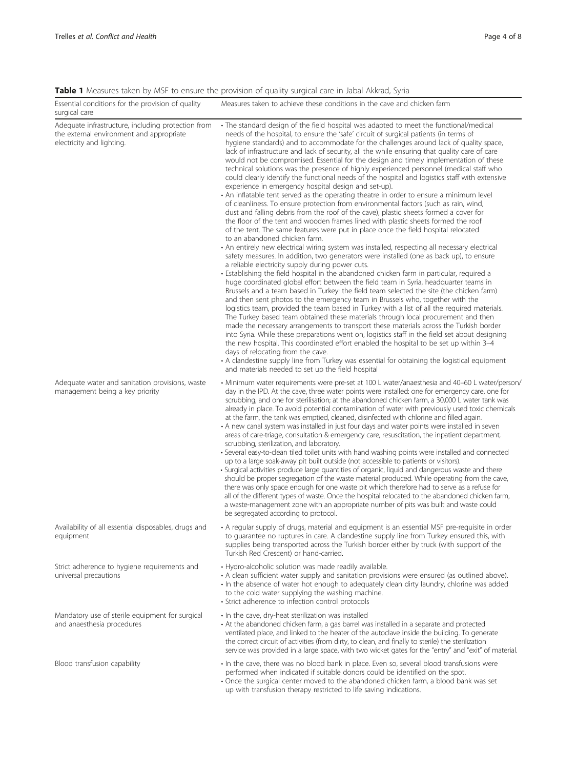<span id="page-3-0"></span>Table 1 Measures taken by MSF to ensure the provision of quality surgical care in Jabal Akkrad, Syria

| Essential conditions for the provision of quality<br>surgical care                                                          | Measures taken to achieve these conditions in the cave and chicken farm                                                                                                                                                                                                                                                                                                                                                                                                                                                                                                                                                                                                                                                                                                                                                                                                                                                                                                                                                                                                                                                                                                                                                                                                                                                                                                                                                                                                                                                                                                                                                                                                                                                                                                                                                                                                                                                                                                                                                                                                                                                                                                                                                                                                                                                                                                                                                                                                                                 |
|-----------------------------------------------------------------------------------------------------------------------------|---------------------------------------------------------------------------------------------------------------------------------------------------------------------------------------------------------------------------------------------------------------------------------------------------------------------------------------------------------------------------------------------------------------------------------------------------------------------------------------------------------------------------------------------------------------------------------------------------------------------------------------------------------------------------------------------------------------------------------------------------------------------------------------------------------------------------------------------------------------------------------------------------------------------------------------------------------------------------------------------------------------------------------------------------------------------------------------------------------------------------------------------------------------------------------------------------------------------------------------------------------------------------------------------------------------------------------------------------------------------------------------------------------------------------------------------------------------------------------------------------------------------------------------------------------------------------------------------------------------------------------------------------------------------------------------------------------------------------------------------------------------------------------------------------------------------------------------------------------------------------------------------------------------------------------------------------------------------------------------------------------------------------------------------------------------------------------------------------------------------------------------------------------------------------------------------------------------------------------------------------------------------------------------------------------------------------------------------------------------------------------------------------------------------------------------------------------------------------------------------------------|
| Adequate infrastructure, including protection from<br>the external environment and appropriate<br>electricity and lighting. | · The standard design of the field hospital was adapted to meet the functional/medical<br>needs of the hospital, to ensure the 'safe' circuit of surgical patients (in terms of<br>hygiene standards) and to accommodate for the challenges around lack of quality space,<br>lack of infrastructure and lack of security, all the while ensuring that quality care of care<br>would not be compromised. Essential for the design and timely implementation of these<br>technical solutions was the presence of highly experienced personnel (medical staff who<br>could clearly identify the functional needs of the hospital and logistics staff with extensive<br>experience in emergency hospital design and set-up).<br>• An inflatable tent served as the operating theatre in order to ensure a minimum level<br>of cleanliness. To ensure protection from environmental factors (such as rain, wind,<br>dust and falling debris from the roof of the cave), plastic sheets formed a cover for<br>the floor of the tent and wooden frames lined with plastic sheets formed the roof<br>of the tent. The same features were put in place once the field hospital relocated<br>to an abandoned chicken farm.<br>• An entirely new electrical wiring system was installed, respecting all necessary electrical<br>safety measures. In addition, two generators were installed (one as back up), to ensure<br>a reliable electricity supply during power cuts.<br>• Establishing the field hospital in the abandoned chicken farm in particular, required a<br>huge coordinated global effort between the field team in Syria, headquarter teams in<br>Brussels and a team based in Turkey: the field team selected the site (the chicken farm)<br>and then sent photos to the emergency team in Brussels who, together with the<br>logistics team, provided the team based in Turkey with a list of all the required materials.<br>The Turkey based team obtained these materials through local procurement and then<br>made the necessary arrangements to transport these materials across the Turkish border<br>into Syria. While these preparations went on, logistics staff in the field set about designing<br>the new hospital. This coordinated effort enabled the hospital to be set up within 3-4<br>days of relocating from the cave.<br>• A clandestine supply line from Turkey was essential for obtaining the logistical equipment<br>and materials needed to set up the field hospital |
| Adequate water and sanitation provisions, waste<br>management being a key priority                                          | · Minimum water requirements were pre-set at 100 L water/anaesthesia and 40-60 L water/person/<br>day in the IPD. At the cave, three water points were installed: one for emergency care, one for<br>scrubbing, and one for sterilisation; at the abandoned chicken farm, a 30,000 L water tank was<br>already in place. To avoid potential contamination of water with previously used toxic chemicals<br>at the farm, the tank was emptied, cleaned, disinfected with chlorine and filled again.<br>• A new canal system was installed in just four days and water points were installed in seven<br>areas of care-triage, consultation & emergency care, resuscitation, the inpatient department,<br>scrubbing, sterilization, and laboratory.<br>• Several easy-to-clean tiled toilet units with hand washing points were installed and connected<br>up to a large soak-away pit built outside (not accessible to patients or visitors).<br>· Surgical activities produce large quantities of organic, liquid and dangerous waste and there<br>should be proper segregation of the waste material produced. While operating from the cave,<br>there was only space enough for one waste pit which therefore had to serve as a refuse for<br>all of the different types of waste. Once the hospital relocated to the abandoned chicken farm,<br>a waste-management zone with an appropriate number of pits was built and waste could<br>be segregated according to protocol.                                                                                                                                                                                                                                                                                                                                                                                                                                                                                                                                                                                                                                                                                                                                                                                                                                                                                                                                                                                                                         |
| Availability of all essential disposables, drugs and<br>equipment                                                           | • A regular supply of drugs, material and equipment is an essential MSF pre-requisite in order<br>to guarantee no ruptures in care. A clandestine supply line from Turkey ensured this, with<br>supplies being transported across the Turkish border either by truck (with support of the<br>Turkish Red Crescent) or hand-carried.                                                                                                                                                                                                                                                                                                                                                                                                                                                                                                                                                                                                                                                                                                                                                                                                                                                                                                                                                                                                                                                                                                                                                                                                                                                                                                                                                                                                                                                                                                                                                                                                                                                                                                                                                                                                                                                                                                                                                                                                                                                                                                                                                                     |
| Strict adherence to hygiene requirements and<br>universal precautions                                                       | · Hydro-alcoholic solution was made readily available.<br>• A clean sufficient water supply and sanitation provisions were ensured (as outlined above).<br>· In the absence of water hot enough to adequately clean dirty laundry, chlorine was added<br>to the cold water supplying the washing machine.<br>· Strict adherence to infection control protocols                                                                                                                                                                                                                                                                                                                                                                                                                                                                                                                                                                                                                                                                                                                                                                                                                                                                                                                                                                                                                                                                                                                                                                                                                                                                                                                                                                                                                                                                                                                                                                                                                                                                                                                                                                                                                                                                                                                                                                                                                                                                                                                                          |
| Mandatory use of sterile equipment for surgical<br>and anaesthesia procedures                                               | · In the cave, dry-heat sterilization was installed<br>• At the abandoned chicken farm, a gas barrel was installed in a separate and protected<br>ventilated place, and linked to the heater of the autoclave inside the building. To generate<br>the correct circuit of activities (from dirty, to clean, and finally to sterile) the sterilization<br>service was provided in a large space, with two wicket gates for the "entry" and "exit" of material.                                                                                                                                                                                                                                                                                                                                                                                                                                                                                                                                                                                                                                                                                                                                                                                                                                                                                                                                                                                                                                                                                                                                                                                                                                                                                                                                                                                                                                                                                                                                                                                                                                                                                                                                                                                                                                                                                                                                                                                                                                            |
| Blood transfusion capability                                                                                                | In the cave, there was no blood bank in place. Even so, several blood transfusions were<br>performed when indicated if suitable donors could be identified on the spot.<br>• Once the surgical center moved to the abandoned chicken farm, a blood bank was set<br>up with transfusion therapy restricted to life saving indications.                                                                                                                                                                                                                                                                                                                                                                                                                                                                                                                                                                                                                                                                                                                                                                                                                                                                                                                                                                                                                                                                                                                                                                                                                                                                                                                                                                                                                                                                                                                                                                                                                                                                                                                                                                                                                                                                                                                                                                                                                                                                                                                                                                   |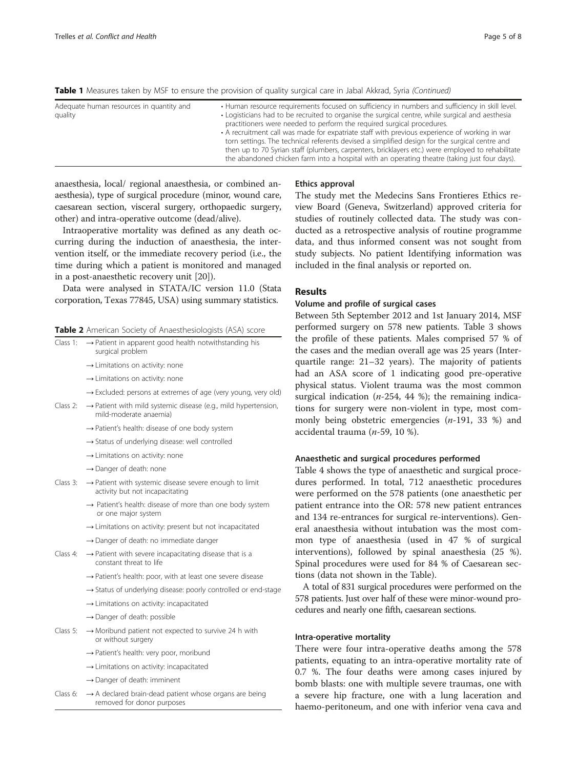<span id="page-4-0"></span>Table 1 Measures taken by MSF to ensure the provision of quality surgical care in Jabal Akkrad, Syria (Continued)

| Adequate human resources in quantity and<br>quality | • Human resource requirements focused on sufficiency in numbers and sufficiency in skill level.<br>• Logisticians had to be recruited to organise the surgical centre, while surgical and aesthesia<br>practitioners were needed to perform the required surgical procedures.<br>• A recruitment call was made for expatriate staff with previous experience of working in war<br>torn settings. The technical referents devised a simplified design for the surgical centre and<br>then up to 70 Syrian staff (plumbers, carpenters, bricklayers etc.) were employed to rehabilitate<br>the abandoned chicken farm into a hospital with an operating theatre (taking just four days). |
|-----------------------------------------------------|----------------------------------------------------------------------------------------------------------------------------------------------------------------------------------------------------------------------------------------------------------------------------------------------------------------------------------------------------------------------------------------------------------------------------------------------------------------------------------------------------------------------------------------------------------------------------------------------------------------------------------------------------------------------------------------|

anaesthesia, local/ regional anaesthesia, or combined anaesthesia), type of surgical procedure (minor, wound care, caesarean section, visceral surgery, orthopaedic surgery, other) and intra-operative outcome (dead/alive).

Intraoperative mortality was defined as any death occurring during the induction of anaesthesia, the intervention itself, or the immediate recovery period (i.e., the time during which a patient is monitored and managed in a post-anaesthetic recovery unit [\[20\]](#page-7-0)).

Data were analysed in STATA/IC version 11.0 (Stata corporation, Texas 77845, USA) using summary statistics.

| Table 2 American Society of Anaesthesiologists (ASA) score |  |
|------------------------------------------------------------|--|
|------------------------------------------------------------|--|

|             | Class 1: $\rightarrow$ Patient in apparent good health notwithstanding his<br>surgical problem                |
|-------------|---------------------------------------------------------------------------------------------------------------|
|             | $\rightarrow$ Limitations on activity: none                                                                   |
|             | $\rightarrow$ Limitations on activity: none                                                                   |
|             | $\rightarrow$ Excluded: persons at extremes of age (very young, very old)                                     |
|             | Class 2: $\rightarrow$ Patient with mild systemic disease (e.g., mild hypertension,<br>mild-moderate anaemia) |
|             | $\rightarrow$ Patient's health: disease of one body system                                                    |
|             | $\rightarrow$ Status of underlying disease: well controlled                                                   |
|             | $\rightarrow$ Limitations on activity: none                                                                   |
|             | $\rightarrow$ Danger of death: none                                                                           |
| Class 3:    | $\rightarrow$ Patient with systemic disease severe enough to limit<br>activity but not incapacitating         |
|             | $\rightarrow$ Patient's health: disease of more than one body system<br>or one major system                   |
|             | $\rightarrow$ Limitations on activity: present but not incapacitated                                          |
|             | $\rightarrow$ Danger of death: no immediate danger                                                            |
| Class 4:    | $\rightarrow$ Patient with severe incapacitating disease that is a<br>constant threat to life                 |
|             | $\rightarrow$ Patient's health: poor, with at least one severe disease                                        |
|             | $\rightarrow$ Status of underlying disease: poorly controlled or end-stage                                    |
|             | $\rightarrow$ Limitations on activity: incapacitated                                                          |
|             | $\rightarrow$ Danger of death: possible                                                                       |
| Class $5$ : | $\rightarrow$ Moribund patient not expected to survive 24 h with<br>or without surgery                        |

- → Patient's health: very poor, moribund
- $\rightarrow$  Limitations on activity: incapacitated
- $\rightarrow$  Danger of death: imminent
- Class 6: → A declared brain-dead patient whose organs are being removed for donor purposes

#### Ethics approval

The study met the Medecins Sans Frontieres Ethics review Board (Geneva, Switzerland) approved criteria for studies of routinely collected data. The study was conducted as a retrospective analysis of routine programme data, and thus informed consent was not sought from study subjects. No patient Identifying information was included in the final analysis or reported on.

#### Results

#### Volume and profile of surgical cases

Between 5th September 2012 and 1st January 2014, MSF performed surgery on 578 new patients. Table [3](#page-5-0) shows the profile of these patients. Males comprised 57 % of the cases and the median overall age was 25 years (Interquartile range: 21–32 years). The majority of patients had an ASA score of 1 indicating good pre-operative physical status. Violent trauma was the most common surgical indication ( $n-254$ , 44 %); the remaining indications for surgery were non-violent in type, most commonly being obstetric emergencies (*n*-191, 33 %) and accidental trauma (n-59, 10 %).

#### Anaesthetic and surgical procedures performed

Table [4](#page-5-0) shows the type of anaesthetic and surgical procedures performed. In total, 712 anaesthetic procedures were performed on the 578 patients (one anaesthetic per patient entrance into the OR: 578 new patient entrances and 134 re-entrances for surgical re-interventions). General anaesthesia without intubation was the most common type of anaesthesia (used in 47 % of surgical interventions), followed by spinal anaesthesia (25 %). Spinal procedures were used for 84 % of Caesarean sections (data not shown in the Table).

A total of 831 surgical procedures were performed on the 578 patients. Just over half of these were minor-wound procedures and nearly one fifth, caesarean sections.

#### Intra-operative mortality

There were four intra-operative deaths among the 578 patients, equating to an intra-operative mortality rate of 0.7 %. The four deaths were among cases injured by bomb blasts: one with multiple severe traumas, one with a severe hip fracture, one with a lung laceration and haemo-peritoneum, and one with inferior vena cava and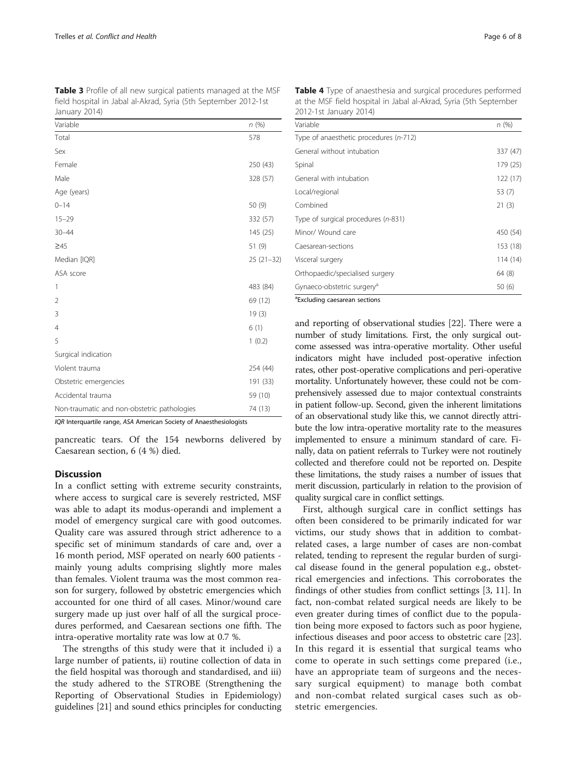<span id="page-5-0"></span>Table 3 Profile of all new surgical patients managed at the MSF field hospital in Jabal al-Akrad, Syria (5th September 2012-1st January 2014)

| Variable                                    | n(%)        |
|---------------------------------------------|-------------|
| Total                                       | 578         |
| Sex                                         |             |
| Female                                      | 250 (43)    |
| Male                                        | 328 (57)    |
| Age (years)                                 |             |
| $0 - 14$                                    | 50(9)       |
| $15 - 29$                                   | 332 (57)    |
| $30 - 44$                                   | 145 (25)    |
| $\geq 45$                                   | 51 (9)      |
| Median [IQR]                                | $25(21-32)$ |
| ASA score                                   |             |
| 1                                           | 483 (84)    |
| 2                                           | 69 (12)     |
| 3                                           | 19(3)       |
| $\overline{4}$                              | 6(1)        |
| 5                                           | 1(0.2)      |
| Surgical indication                         |             |
| Violent trauma                              | 254 (44)    |
| Obstetric emergencies                       | 191 (33)    |
| Accidental trauma                           | 59 (10)     |
| Non-traumatic and non-obstetric pathologies | 74 (13)     |

IQR Interquartile range, ASA American Society of Anaesthesiologists

pancreatic tears. Of the 154 newborns delivered by Caesarean section, 6 (4 %) died.

#### **Discussion**

In a conflict setting with extreme security constraints, where access to surgical care is severely restricted, MSF was able to adapt its modus-operandi and implement a model of emergency surgical care with good outcomes. Quality care was assured through strict adherence to a specific set of minimum standards of care and, over a 16 month period, MSF operated on nearly 600 patients mainly young adults comprising slightly more males than females. Violent trauma was the most common reason for surgery, followed by obstetric emergencies which accounted for one third of all cases. Minor/wound care surgery made up just over half of all the surgical procedures performed, and Caesarean sections one fifth. The intra-operative mortality rate was low at 0.7 %.

The strengths of this study were that it included i) a large number of patients, ii) routine collection of data in the field hospital was thorough and standardised, and iii) the study adhered to the STROBE (Strengthening the Reporting of Observational Studies in Epidemiology) guidelines [[21](#page-7-0)] and sound ethics principles for conducting

Table 4 Type of anaesthesia and surgical procedures performed at the MSF field hospital in Jabal al-Akrad, Syria (5th September 2012-1st January 2014)

| Variable                                  | n(%)     |
|-------------------------------------------|----------|
| Type of anaesthetic procedures (n-712)    |          |
| General without intubation                | 337 (47) |
| Spinal                                    | 179 (25) |
| General with intubation                   | 122 (17) |
| Local/regional                            | 53 (7)   |
| Combined                                  | 21(3)    |
| Type of surgical procedures (n-831)       |          |
| Minor/ Wound care                         | 450 (54) |
| Caesarean-sections                        | 153 (18) |
| Visceral surgery                          | 114(14)  |
| Orthopaedic/specialised surgery           | 64 (8)   |
| Gynaeco-obstetric surgery <sup>a</sup>    | 50 (6)   |
| <sup>a</sup> Excluding caesarean sections |          |

and reporting of observational studies [\[22\]](#page-7-0). There were a number of study limitations. First, the only surgical outcome assessed was intra-operative mortality. Other useful indicators might have included post-operative infection rates, other post-operative complications and peri-operative mortality. Unfortunately however, these could not be comprehensively assessed due to major contextual constraints in patient follow-up. Second, given the inherent limitations of an observational study like this, we cannot directly attribute the low intra-operative mortality rate to the measures implemented to ensure a minimum standard of care. Finally, data on patient referrals to Turkey were not routinely collected and therefore could not be reported on. Despite these limitations, the study raises a number of issues that merit discussion, particularly in relation to the provision of quality surgical care in conflict settings.

First, although surgical care in conflict settings has often been considered to be primarily indicated for war victims, our study shows that in addition to combatrelated cases, a large number of cases are non-combat related, tending to represent the regular burden of surgical disease found in the general population e.g., obstetrical emergencies and infections. This corroborates the findings of other studies from conflict settings [\[3](#page-7-0), [11](#page-7-0)]. In fact, non-combat related surgical needs are likely to be even greater during times of conflict due to the population being more exposed to factors such as poor hygiene, infectious diseases and poor access to obstetric care [\[23](#page-7-0)]. In this regard it is essential that surgical teams who come to operate in such settings come prepared (i.e., have an appropriate team of surgeons and the necessary surgical equipment) to manage both combat and non-combat related surgical cases such as obstetric emergencies.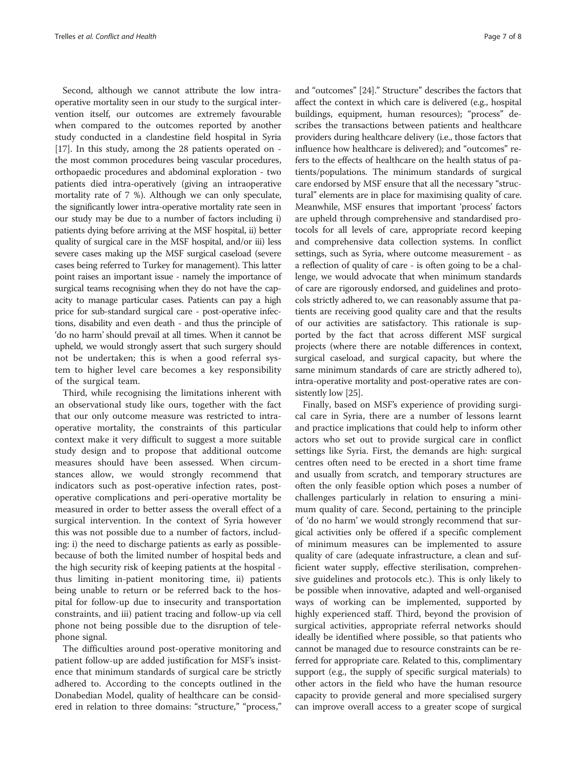Second, although we cannot attribute the low intraoperative mortality seen in our study to the surgical intervention itself, our outcomes are extremely favourable when compared to the outcomes reported by another study conducted in a clandestine field hospital in Syria [[17](#page-7-0)]. In this study, among the 28 patients operated on the most common procedures being vascular procedures, orthopaedic procedures and abdominal exploration - two patients died intra-operatively (giving an intraoperative mortality rate of 7 %). Although we can only speculate, the significantly lower intra-operative mortality rate seen in our study may be due to a number of factors including i) patients dying before arriving at the MSF hospital, ii) better quality of surgical care in the MSF hospital, and/or iii) less severe cases making up the MSF surgical caseload (severe cases being referred to Turkey for management). This latter point raises an important issue - namely the importance of surgical teams recognising when they do not have the capacity to manage particular cases. Patients can pay a high price for sub-standard surgical care - post-operative infections, disability and even death - and thus the principle of 'do no harm' should prevail at all times. When it cannot be upheld, we would strongly assert that such surgery should not be undertaken; this is when a good referral system to higher level care becomes a key responsibility of the surgical team.

Third, while recognising the limitations inherent with an observational study like ours, together with the fact that our only outcome measure was restricted to intraoperative mortality, the constraints of this particular context make it very difficult to suggest a more suitable study design and to propose that additional outcome measures should have been assessed. When circumstances allow, we would strongly recommend that indicators such as post-operative infection rates, postoperative complications and peri-operative mortality be measured in order to better assess the overall effect of a surgical intervention. In the context of Syria however this was not possible due to a number of factors, including: i) the need to discharge patients as early as possiblebecause of both the limited number of hospital beds and the high security risk of keeping patients at the hospital thus limiting in-patient monitoring time, ii) patients being unable to return or be referred back to the hospital for follow-up due to insecurity and transportation constraints, and iii) patient tracing and follow-up via cell phone not being possible due to the disruption of telephone signal.

The difficulties around post-operative monitoring and patient follow-up are added justification for MSF's insistence that minimum standards of surgical care be strictly adhered to. According to the concepts outlined in the Donabedian Model, quality of healthcare can be considered in relation to three domains: "structure," "process,"

and "outcomes" [[24\]](#page-7-0)." Structure" describes the factors that affect the context in which care is delivered (e.g., hospital buildings, equipment, human resources); "process" describes the transactions between patients and healthcare providers during healthcare delivery (i.e., those factors that influence how healthcare is delivered); and "outcomes" refers to the effects of healthcare on the health status of patients/populations. The minimum standards of surgical care endorsed by MSF ensure that all the necessary "structural" elements are in place for maximising quality of care. Meanwhile, MSF ensures that important 'process' factors are upheld through comprehensive and standardised protocols for all levels of care, appropriate record keeping and comprehensive data collection systems. In conflict settings, such as Syria, where outcome measurement - as a reflection of quality of care - is often going to be a challenge, we would advocate that when minimum standards of care are rigorously endorsed, and guidelines and protocols strictly adhered to, we can reasonably assume that patients are receiving good quality care and that the results of our activities are satisfactory. This rationale is supported by the fact that across different MSF surgical projects (where there are notable differences in context, surgical caseload, and surgical capacity, but where the same minimum standards of care are strictly adhered to), intra-operative mortality and post-operative rates are consistently low [[25](#page-7-0)].

Finally, based on MSF's experience of providing surgical care in Syria, there are a number of lessons learnt and practice implications that could help to inform other actors who set out to provide surgical care in conflict settings like Syria. First, the demands are high: surgical centres often need to be erected in a short time frame and usually from scratch, and temporary structures are often the only feasible option which poses a number of challenges particularly in relation to ensuring a minimum quality of care. Second, pertaining to the principle of 'do no harm' we would strongly recommend that surgical activities only be offered if a specific complement of minimum measures can be implemented to assure quality of care (adequate infrastructure, a clean and sufficient water supply, effective sterilisation, comprehensive guidelines and protocols etc.). This is only likely to be possible when innovative, adapted and well-organised ways of working can be implemented, supported by highly experienced staff. Third, beyond the provision of surgical activities, appropriate referral networks should ideally be identified where possible, so that patients who cannot be managed due to resource constraints can be referred for appropriate care. Related to this, complimentary support (e.g., the supply of specific surgical materials) to other actors in the field who have the human resource capacity to provide general and more specialised surgery can improve overall access to a greater scope of surgical